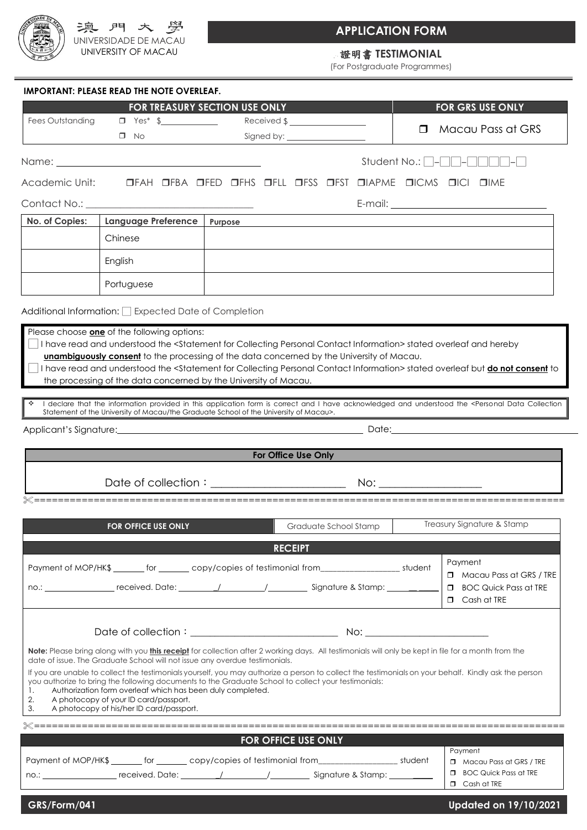

# **APPLICATION FORM**

### 證明書 **TESTIMONIAL**

(For Postgraduate Programmes)

|                  |                                                                                                     | FOR TREASURY SECTION USE ONLY                                                                                                                                                                                                                                   |                                       | <b>FOR GRS USE ONLY</b>                                 |
|------------------|-----------------------------------------------------------------------------------------------------|-----------------------------------------------------------------------------------------------------------------------------------------------------------------------------------------------------------------------------------------------------------------|---------------------------------------|---------------------------------------------------------|
| Fees Outstanding |                                                                                                     |                                                                                                                                                                                                                                                                 | $\Box$                                | Macau Pass at GRS                                       |
|                  | $\Box$ No                                                                                           |                                                                                                                                                                                                                                                                 |                                       |                                                         |
|                  |                                                                                                     |                                                                                                                                                                                                                                                                 | Student No.: $\Box$ - $\Box$ - $\Box$ |                                                         |
| Academic Unit:   |                                                                                                     | OFAH OFBA OFED OFHS OFLL OFSS OFST OIAPME OICMS OICI OIME                                                                                                                                                                                                       |                                       |                                                         |
|                  |                                                                                                     |                                                                                                                                                                                                                                                                 |                                       |                                                         |
| No. of Copies:   | <b>Language Preference</b>                                                                          | Purpose                                                                                                                                                                                                                                                         |                                       |                                                         |
|                  | Chinese                                                                                             |                                                                                                                                                                                                                                                                 |                                       |                                                         |
|                  |                                                                                                     |                                                                                                                                                                                                                                                                 |                                       |                                                         |
|                  | English                                                                                             |                                                                                                                                                                                                                                                                 |                                       |                                                         |
|                  | Portuguese                                                                                          |                                                                                                                                                                                                                                                                 |                                       |                                                         |
|                  | Additional Information: Expected Date of Completion                                                 |                                                                                                                                                                                                                                                                 |                                       |                                                         |
|                  |                                                                                                     | the processing of the data concerned by the University of Macau.<br>I declare that the information provided in this application form is correct and I have acknowledged and understood the <personal collection<="" data="" th=""><th></th><th></th></personal> |                                       |                                                         |
|                  |                                                                                                     |                                                                                                                                                                                                                                                                 |                                       |                                                         |
|                  |                                                                                                     |                                                                                                                                                                                                                                                                 |                                       |                                                         |
|                  |                                                                                                     | Statement of the University of Macau/the Graduate School of the University of Macau>.                                                                                                                                                                           |                                       |                                                         |
|                  |                                                                                                     |                                                                                                                                                                                                                                                                 |                                       |                                                         |
|                  |                                                                                                     | For Office Use Only                                                                                                                                                                                                                                             |                                       |                                                         |
|                  |                                                                                                     |                                                                                                                                                                                                                                                                 |                                       |                                                         |
|                  |                                                                                                     |                                                                                                                                                                                                                                                                 |                                       |                                                         |
|                  |                                                                                                     |                                                                                                                                                                                                                                                                 |                                       |                                                         |
|                  | <b>FOR OFFICE USE ONLY</b>                                                                          | Graduate School Stamp                                                                                                                                                                                                                                           |                                       | Treasury Signature & Stamp                              |
|                  |                                                                                                     | <b>RECEIPT</b>                                                                                                                                                                                                                                                  |                                       |                                                         |
|                  |                                                                                                     | Payment of MOP/HK\$ _______ for _______ copy/copies of testimonial from__________________ student                                                                                                                                                               |                                       | Payment                                                 |
|                  |                                                                                                     |                                                                                                                                                                                                                                                                 | $\Box$                                | <b>BOC Quick Pass at TRE</b>                            |
|                  |                                                                                                     | no.: ___________________received. Date: _________/ ________/ _____________ Signature & Stamp: ____ ______                                                                                                                                                       |                                       | $\Box$ Cash at TRE                                      |
|                  |                                                                                                     |                                                                                                                                                                                                                                                                 |                                       |                                                         |
|                  |                                                                                                     |                                                                                                                                                                                                                                                                 |                                       |                                                         |
|                  |                                                                                                     | Note: Please bring along with you this receipt for collection after 2 working days. All testimonials will only be kept in file for a month from the                                                                                                             |                                       |                                                         |
|                  | date of issue. The Graduate School will not issue any overdue testimonials.                         | If you are unable to collect the testimonials yourself, you may authorize a person to collect the testimonials on your behalf. Kindly ask the person                                                                                                            |                                       | $\Box$ Macau Pass at GRS / TRE                          |
|                  |                                                                                                     | you authorize to bring the following documents to the Graduate School to collect your testimonials:                                                                                                                                                             |                                       |                                                         |
| 1.<br>2.         | Authorization form overleaf which has been duly completed.<br>A photocopy of your ID card/passport. |                                                                                                                                                                                                                                                                 |                                       |                                                         |
| 3.               | A photocopy of his/her ID card/passport.                                                            |                                                                                                                                                                                                                                                                 |                                       |                                                         |
|                  |                                                                                                     | <b>Service Service</b>                                                                                                                                                                                                                                          |                                       |                                                         |
|                  |                                                                                                     | FOR OFFICE USE ONLY                                                                                                                                                                                                                                             |                                       | Payment                                                 |
|                  |                                                                                                     | Payment of MOP/HK\$ _______ for _______ copy/copies of testimonial from____________________ student<br>no.: ____________________received. Date: _________/ _________/ ____________Signature & Stamp: ___________                                                |                                       | Macau Pass at GRS / TRE<br><b>BOC Quick Pass at TRE</b> |